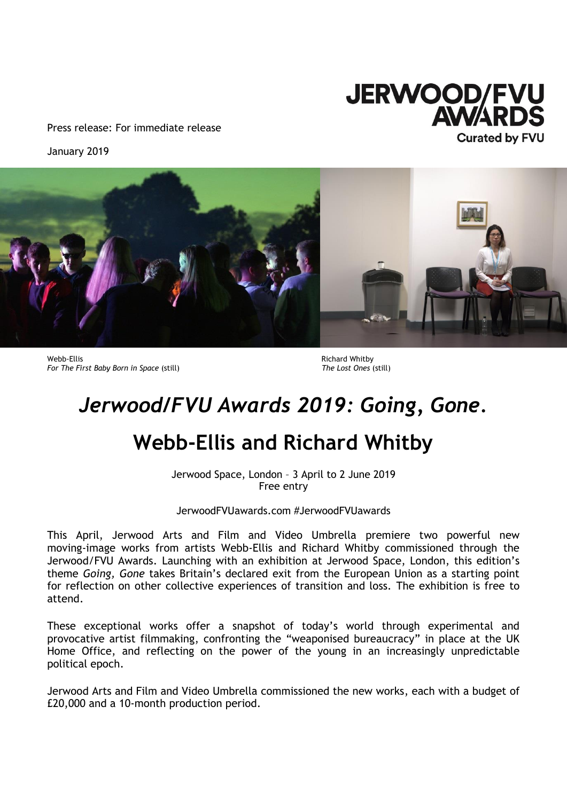

Press release: For immediate release

January 2019



Webb-Ellis<br>
For The First Baby Born in Space (still) and the state of the Cost Ones (still) *For The First Baby Born in Space* (still)

# *Jerwood/FVU Awards 2019: Going, Gone.*

# **Webb-Ellis and Richard Whitby**

Jerwood Space, London – 3 April to 2 June 2019 Free entry

JerwoodFVUawards.com #JerwoodFVUawards

This April, Jerwood Arts and Film and Video Umbrella premiere two powerful new moving-image works from artists Webb-Ellis and Richard Whitby commissioned through the Jerwood/FVU Awards. Launching with an exhibition at Jerwood Space, London, this edition's theme *Going, Gone* takes Britain's declared exit from the European Union as a starting point for reflection on other collective experiences of transition and loss. The exhibition is free to attend.

These exceptional works offer a snapshot of today's world through experimental and provocative artist filmmaking, confronting the "weaponised bureaucracy" in place at the UK Home Office, and reflecting on the power of the young in an increasingly unpredictable political epoch.

Jerwood Arts and Film and Video Umbrella commissioned the new works, each with a budget of £20,000 and a 10-month production period.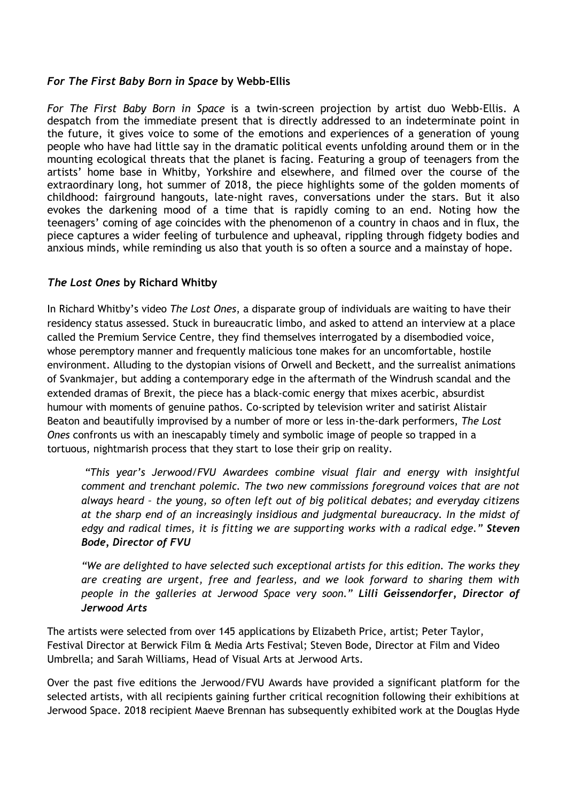## *For The First Baby Born in Space* **by Webb-Ellis**

*For The First Baby Born in Space* is a twin-screen projection by artist duo Webb-Ellis. A despatch from the immediate present that is directly addressed to an indeterminate point in the future, it gives voice to some of the emotions and experiences of a generation of young people who have had little say in the dramatic political events unfolding around them or in the mounting ecological threats that the planet is facing. Featuring a group of teenagers from the artists' home base in Whitby, Yorkshire and elsewhere, and filmed over the course of the extraordinary long, hot summer of 2018, the piece highlights some of the golden moments of childhood: fairground hangouts, late-night raves, conversations under the stars. But it also evokes the darkening mood of a time that is rapidly coming to an end. Noting how the teenagers' coming of age coincides with the phenomenon of a country in chaos and in flux, the piece captures a wider feeling of turbulence and upheaval, rippling through fidgety bodies and anxious minds, while reminding us also that youth is so often a source and a mainstay of hope.

## *The Lost Ones* **by Richard Whitby**

In Richard Whitby's video *The Lost Ones*, a disparate group of individuals are waiting to have their residency status assessed. Stuck in bureaucratic limbo, and asked to attend an interview at a place called the Premium Service Centre, they find themselves interrogated by a disembodied voice, whose peremptory manner and frequently malicious tone makes for an uncomfortable, hostile environment. Alluding to the dystopian visions of Orwell and Beckett, and the surrealist animations of Svankmajer, but adding a contemporary edge in the aftermath of the Windrush scandal and the extended dramas of Brexit, the piece has a black-comic energy that mixes acerbic, absurdist humour with moments of genuine pathos. Co-scripted by television writer and satirist Alistair Beaton and beautifully improvised by a number of more or less in-the-dark performers, *The Lost Ones* confronts us with an inescapably timely and symbolic image of people so trapped in a tortuous, nightmarish process that they start to lose their grip on reality.

*"This year's Jerwood/FVU Awardees combine visual flair and energy with insightful comment and trenchant polemic. The two new commissions foreground voices that are not always heard – the young, so often left out of big political debates; and everyday citizens at the sharp end of an increasingly insidious and judgmental bureaucracy. In the midst of edgy and radical times, it is fitting we are supporting works with a radical edge." Steven Bode, Director of FVU*

*"We are delighted to have selected such exceptional artists for this edition. The works they are creating are urgent, free and fearless, and we look forward to sharing them with people in the galleries at Jerwood Space very soon." Lilli Geissendorfer, Director of Jerwood Arts*

The artists were selected from over 145 applications by Elizabeth Price, artist; Peter Taylor, Festival Director at Berwick Film & Media Arts Festival; Steven Bode, Director at Film and Video Umbrella; and Sarah Williams, Head of Visual Arts at Jerwood Arts.

Over the past five editions the Jerwood/FVU Awards have provided a significant platform for the selected artists, with all recipients gaining further critical recognition following their exhibitions at Jerwood Space. 2018 recipient Maeve Brennan has subsequently exhibited work at the Douglas Hyde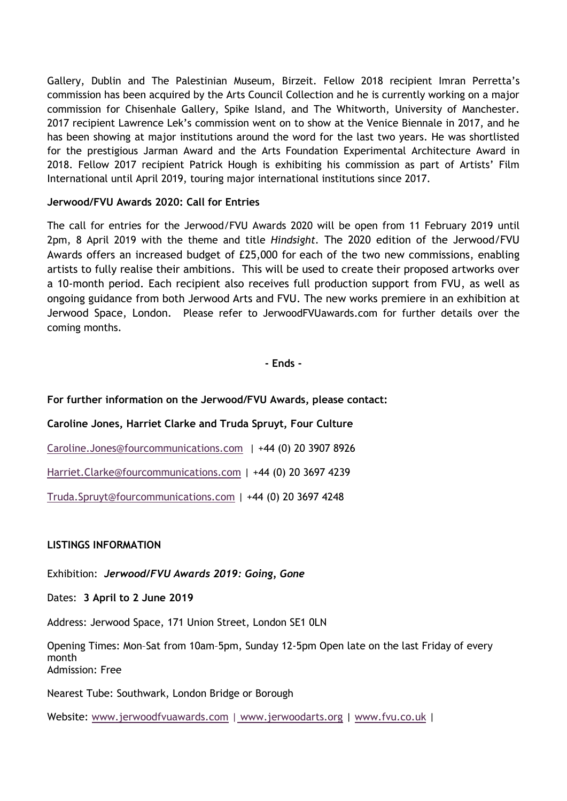Gallery, Dublin and The Palestinian Museum, Birzeit. Fellow 2018 recipient Imran Perretta's commission has been acquired by the Arts Council Collection and he is currently working on a major commission for Chisenhale Gallery, Spike Island, and The Whitworth, University of Manchester. 2017 recipient Lawrence Lek's commission went on to show at the Venice Biennale in 2017, and he has been showing at major institutions around the word for the last two years. He was shortlisted for the prestigious Jarman Award and the Arts Foundation Experimental Architecture Award in 2018. Fellow 2017 recipient Patrick Hough is exhibiting his commission as part of Artists' Film International until April 2019, touring major international institutions since 2017.

## **Jerwood/FVU Awards 2020: Call for Entries**

The call for entries for the Jerwood/FVU Awards 2020 will be open from 11 February 2019 until 2pm, 8 April 2019 with the theme and title *Hindsight.* The 2020 edition of the Jerwood/FVU Awards offers an increased budget of £25,000 for each of the two new commissions, enabling artists to fully realise their ambitions. This will be used to create their proposed artworks over a 10-month period. Each recipient also receives full production support from FVU, as well as ongoing guidance from both Jerwood Arts and FVU. The new works premiere in an exhibition at Jerwood Space, London. Please refer to JerwoodFVUawards.com for further details over the coming months.

**- Ends -**

## **For further information on the Jerwood/FVU Awards, please contact:**

### **Caroline Jones, Harriet Clarke and Truda Spruyt, Four Culture**

[Caroline.Jones@fourcommunications.com](mailto:Caroline.Jones@fourcommunications.com) | +44 (0) 20 3907 8926

[Harriet.Clarke@fourcommunications.com](mailto:Harriet.Clarke@fourcommunications.com) | +44 (0) 20 3697 4239

[Truda.Spruyt@fourcommunications.com](mailto:Truda.Spruyt@fourcommunications.com) | +44 (0) 20 3697 4248

### **LISTINGS INFORMATION**

Exhibition: *Jerwood/FVU Awards 2019: Going, Gone*

Dates: **3 April to 2 June 2019**

Address: Jerwood Space, 171 Union Street, London SE1 0LN

Opening Times: Mon–Sat from 10am–5pm, Sunday 12-5pm Open late on the last Friday of every month Admission: Free

Nearest Tube: Southwark, London Bridge or Borough

Website: [www.jerwoodfvuawards.com](http://www.jerwoodfvuawards.com/) | [www.jerwoodarts.org](http://www.jerwoodarts.org/) | [www.fvu.co.uk](http://www.fvu.co.uk/) |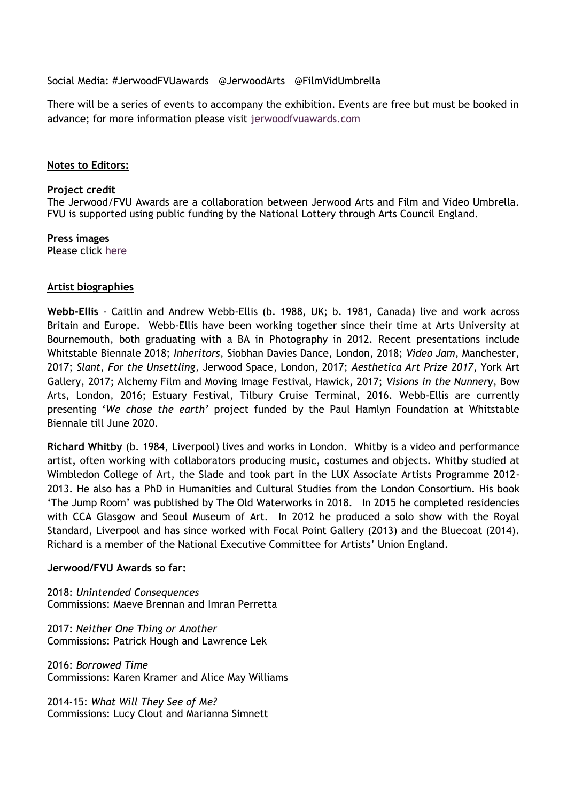Social Media: #JerwoodFVUawards @JerwoodArts @FilmVidUmbrella

There will be a series of events to accompany the exhibition. Events are free but must be booked in advance; for more information please visit [jerwoodfvuawards.com](https://protect-eu.mimecast.com/s/iS--CD9Jfo331PSL_hwB?domain=jerwoodvisualarts.org)

#### **Notes to Editors:**

#### **Project credit**

The Jerwood/FVU Awards are a collaboration between Jerwood Arts and Film and Video Umbrella. FVU is supported using public funding by the National Lottery through Arts Council England.

**Press images**  Please click [here](https://www.dropbox.com/sh/bo506rmg5fqcvnd/AAAsPwBzAZHdg_4b0gtEp6PRa?dl=0)

### **Artist biographies**

**Webb-Ellis** - Caitlin and Andrew Webb-Ellis (b. 1988, UK; b. 1981, Canada) live and work across Britain and Europe. Webb-Ellis have been working together since their time at Arts University at Bournemouth, both graduating with a BA in Photography in 2012. Recent presentations include Whitstable Biennale 2018; *Inheritors*, Siobhan Davies Dance, London, 2018; *Video Jam,* Manchester, 2017; *Slant, For the Unsettling,* Jerwood Space, London, 2017; *Aesthetica Art Prize 2017*, York Art Gallery, 2017; Alchemy Film and Moving Image Festival, Hawick, 2017; *Visions in the Nunnery,* Bow Arts, London, 2016; Estuary Festival, Tilbury Cruise Terminal, 2016. Webb-Ellis are currently presenting '*We chose the earth'* project funded by the Paul Hamlyn Foundation at Whitstable Biennale till June 2020.

**Richard Whitby** (b. 1984, Liverpool) lives and works in London. Whitby is a video and performance artist, often working with collaborators producing music, costumes and objects. Whitby studied at Wimbledon College of Art, the Slade and took part in the LUX Associate Artists Programme 2012- 2013. He also has a PhD in Humanities and Cultural Studies from the London Consortium. His book 'The Jump Room' was published by The Old Waterworks in 2018. In 2015 he completed residencies with CCA Glasgow and Seoul Museum of Art. In 2012 he produced a solo show with the Royal Standard, Liverpool and has since worked with Focal Point Gallery (2013) and the Bluecoat (2014). Richard is a member of the National Executive Committee for Artists' Union England.

#### **Jerwood/FVU Awards so far:**

2018: *Unintended Consequences* Commissions: Maeve Brennan and Imran Perretta

2017: *Neither One Thing or Another* Commissions: Patrick Hough and Lawrence Lek

2016: *Borrowed Time* Commissions: Karen Kramer and Alice May Williams

2014-15: *What Will They See of Me?* Commissions: Lucy Clout and Marianna Simnett